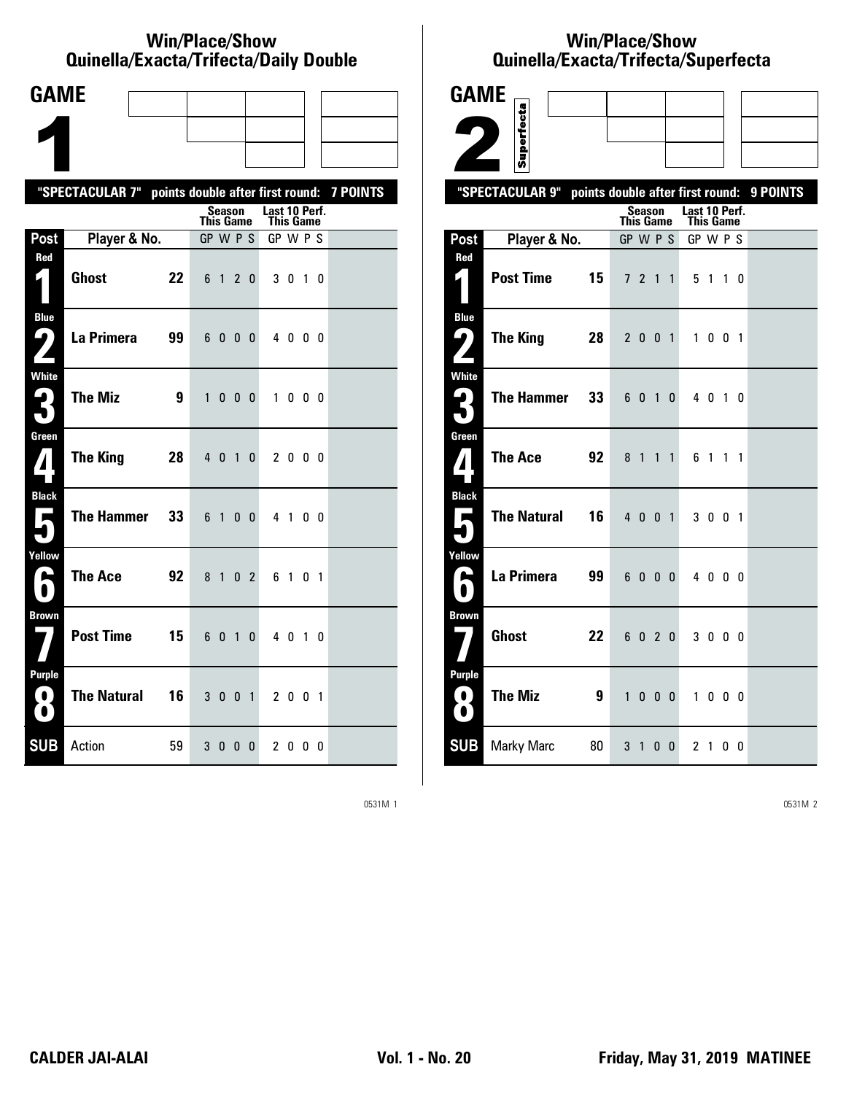### **Win/Place/Show Quinella/Exacta/Trifecta/Daily Double**

| <b>GAME</b>                                                                   |                                                           |    |              |                |                |                |                            |                   |                |  |
|-------------------------------------------------------------------------------|-----------------------------------------------------------|----|--------------|----------------|----------------|----------------|----------------------------|-------------------|----------------|--|
|                                                                               |                                                           |    |              |                |                |                |                            |                   |                |  |
|                                                                               |                                                           |    |              |                |                |                |                            |                   |                |  |
|                                                                               | "SPECTACULAR 7" points double after first round: 7 POINTS |    |              |                |                |                |                            |                   |                |  |
|                                                                               |                                                           |    | This Game    | <b>Season</b>  |                |                | Last 10 Perf.<br>This Game |                   |                |  |
| Post                                                                          | Player & No.                                              |    | GP W P S     |                |                |                | GP W P S                   |                   |                |  |
| Red                                                                           | <b>Ghost</b>                                              | 22 |              | 6 1 2          |                | 0              |                            | 3 0 1 0           |                |  |
| <b>Blue</b><br>ŋ                                                              | La Primera                                                | 99 | 6            | $\mathbf{0}$   | 0              | 0              |                            | 4 0 0 0           |                |  |
| White<br>2<br>$\blacksquare$                                                  | <b>The Miz</b>                                            | 9  | $\mathbf{1}$ | 0              | $\mathbf{0}$   | 0              | $\mathbf{1}$               | $0\quad 0\quad 0$ |                |  |
| Green<br>$\bf{1}$                                                             | <b>The King</b>                                           | 28 | $4\quad0$    |                | $\overline{1}$ | $\mathbf{0}$   |                            | 2000              |                |  |
| <b>Black</b><br>$\rightarrow$                                                 | The Hammer                                                | 33 | 6 1          |                | 0              | $\mathbf{0}$   |                            | 41                | 00             |  |
| Yellow<br>یم                                                                  | <b>The Ace</b>                                            | 92 | 8            | $\overline{1}$ | $\mathbf{0}$   | $\overline{2}$ | 61                         |                   | 0 <sub>1</sub> |  |
| <b>Brown</b>                                                                  | <b>Post Time</b>                                          | 15 |              | 6 0 1          |                | 0              |                            | 4 0 1 0           |                |  |
| <b>Purple</b><br>$\left( \begin{array}{c} 0 \end{array} \right)$<br>$\bullet$ | <b>The Natural</b>                                        | 16 |              | 300            |                | $\overline{1}$ |                            | 2 0 0 1           |                |  |
| <b>SUB</b>                                                                    | Action                                                    | 59 |              | 30             | $\mathbf{0}$   | $\mathbf{0}$   |                            | 2000              |                |  |

# **Win/Place/Show Qui nel la/Exacta/Tri fecta/Super fecta**



0531M 1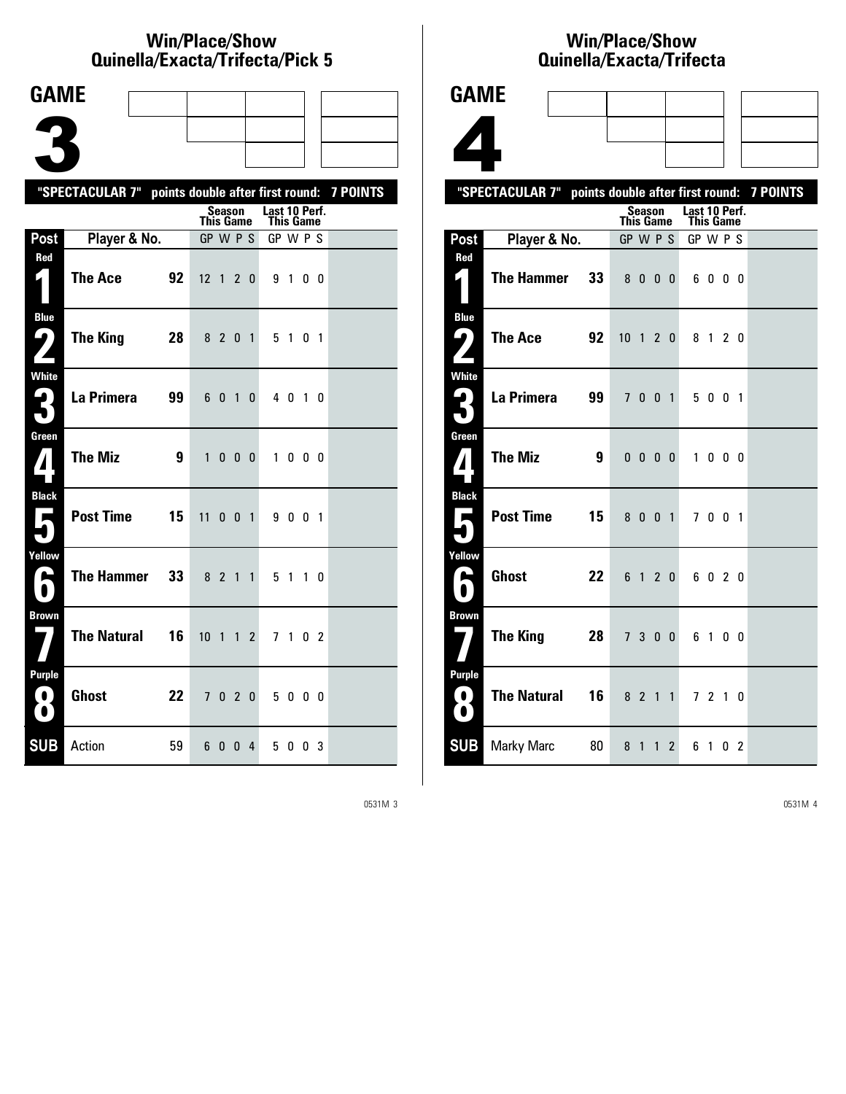## **Win/Place/Show Qui nel la/Exacta/Tri fecta/Pick 5**

| <b>GAME</b>                                  |                                                           |    |                              |               |                        |                |                       |         |    |  |
|----------------------------------------------|-----------------------------------------------------------|----|------------------------------|---------------|------------------------|----------------|-----------------------|---------|----|--|
|                                              |                                                           |    |                              |               |                        |                |                       |         |    |  |
|                                              |                                                           |    |                              |               |                        |                |                       |         |    |  |
|                                              |                                                           |    |                              |               |                        |                |                       |         |    |  |
|                                              | "SPECTACULAR 7" points double after first round: 7 POINTS |    |                              | <b>Season</b> |                        |                | Last 10 Perf.         |         |    |  |
| Post                                         | Player & No.                                              |    | <b>This Game</b><br>GP W P S |               |                        |                | This Game<br>GP W P S |         |    |  |
| Red                                          |                                                           |    |                              |               |                        |                |                       |         |    |  |
| 1                                            | <b>The Ace</b>                                            | 92 | $12 \t1 \t2$                 |               |                        | $\mathbf{0}$   |                       | 9 1 0 0 |    |  |
| <b>Blue</b><br>5<br>$\overline{\phantom{a}}$ | <b>The King</b>                                           | 28 |                              | 8 2 0 1       |                        |                |                       | 5 1 0 1 |    |  |
| White<br>₽.<br>$\blacksquare$                | La Primera                                                | 99 | 6                            | 0             | $\mathbf{1}$           | 0              |                       | 4 0 1 0 |    |  |
| Green<br>$\boldsymbol{\mathcal{I}}$          | <b>The Miz</b>                                            | 9  | 1                            |               | $0\quad 0\quad 0\quad$ |                |                       | 1000    |    |  |
| <b>Black</b><br>$\rightarrow$                | <b>Post Time</b>                                          | 15 | 11                           |               | $0 \t 0 \t 1$          |                |                       | 9 0 0 1 |    |  |
| Yellow<br>فنا                                | <b>The Hammer</b>                                         | 33 | 8 <sup>2</sup>               |               | $\mathbf{1}$           | $\overline{1}$ | 5 <sub>1</sub>        |         | 10 |  |
| <b>Brown</b>                                 | <b>The Natural</b>                                        | 16 | $10 \quad 1$                 |               | $\mathbf{1}$           | $\overline{2}$ |                       | 7 1 0 2 |    |  |
| Purple<br>$\left( 0\right)$<br>$\bigcirc$    | <b>Ghost</b>                                              | 22 |                              | 7020          |                        |                |                       | 5000    |    |  |
| <b>SUB</b>                                   | Action                                                    | 59 |                              | 60            |                        | 0 <sub>4</sub> |                       | 5 0 0 3 |    |  |

# **Win/Place/Show Qui nel la/Exacta/Tri fecta**



|                                                                                                          | "SPECTACULAR 7" points double after first round: 7 POINTS |    |              |                |                |                |                            |              |                   |  |
|----------------------------------------------------------------------------------------------------------|-----------------------------------------------------------|----|--------------|----------------|----------------|----------------|----------------------------|--------------|-------------------|--|
|                                                                                                          |                                                           |    | This Game    | Season         |                |                | Last 10 Perf.<br>This Game |              |                   |  |
| Post                                                                                                     | Player & No.                                              |    | GP W P S     |                |                |                | GP W P S                   |              |                   |  |
| Red                                                                                                      |                                                           |    |              |                |                |                |                            |              |                   |  |
|                                                                                                          | <b>The Hammer</b>                                         | 33 |              | 8 <sub>0</sub> |                | 0 <sub>0</sub> |                            | 6000         |                   |  |
| <b>Blue</b>                                                                                              |                                                           |    |              |                |                |                |                            |              |                   |  |
| ر ما                                                                                                     | The Ace                                                   | 92 | $10$ 1 2 0   |                |                |                |                            | 8 1 2 0      |                   |  |
| <b>White</b>                                                                                             |                                                           |    |              |                |                |                |                            |              |                   |  |
| 3                                                                                                        | La Primera                                                | 99 |              | 7 0 0 1        |                |                |                            | 5 0 0 1      |                   |  |
| Green                                                                                                    |                                                           |    |              |                |                |                |                            |              |                   |  |
| $\bf{7}$                                                                                                 | <b>The Miz</b>                                            | 9  | $\mathbf{0}$ | $\mathbf{0}$   |                | 0 <sub>0</sub> | 1                          |              | $0\quad 0\quad 0$ |  |
| <b>Black</b>                                                                                             |                                                           |    |              |                |                |                |                            |              |                   |  |
| $\overline{\phantom{a}}$                                                                                 | <b>Post Time</b>                                          | 15 | 8            | $\mathbf{0}$   |                | 0 <sub>1</sub> | 7                          |              | $0 \t0 \t1$       |  |
| Yellow                                                                                                   |                                                           |    |              |                |                |                |                            |              |                   |  |
| A<br>$\bullet$                                                                                           | <b>Ghost</b>                                              | 22 |              | 6 1 2 0        |                |                |                            | 6020         |                   |  |
| <b>Brown</b>                                                                                             |                                                           |    |              |                |                |                |                            |              |                   |  |
|                                                                                                          | The King                                                  | 28 |              | 7 <sup>3</sup> | 0 <sub>0</sub> |                |                            | 6 1 0 0      |                   |  |
| <b>Purple</b>                                                                                            |                                                           |    |              |                |                |                |                            |              |                   |  |
| $\left( \begin{array}{c} 0 \end{array} \right)$<br>$\left( \begin{array}{c} \bullet \end{array} \right)$ | <b>The Natural</b>                                        | 16 |              | 8 2 1 1        |                |                |                            | 7 2 1 0      |                   |  |
| <b>SUB</b>                                                                                               | <b>Marky Marc</b>                                         | 80 | 8            | $\mathbf{1}$   | 1              | $\overline{2}$ | 6                          | $\mathbf{1}$ | 0 <sub>2</sub>    |  |

0531M 3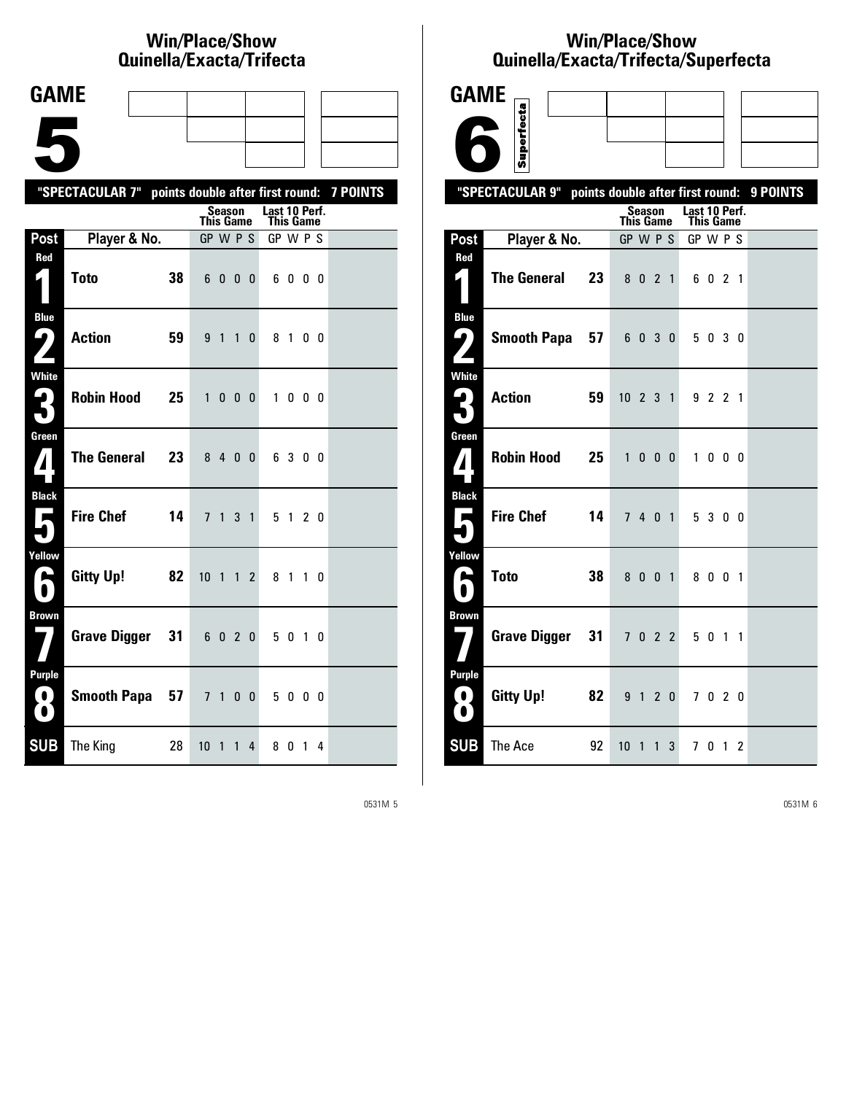# **Win/Place/Show Qui nel la/Exacta/Tri fecta**

| <b>GAME</b> |  |  |    |
|-------------|--|--|----|
|             |  |  |    |
|             |  |  |    |
|             |  |  |    |
|             |  |  |    |
|             |  |  | __ |

|                                              | "SPECTACULAR 7" points double after first round: 7 POINTS |    |                  |         |                   |                |                                   |              |                   |  |
|----------------------------------------------|-----------------------------------------------------------|----|------------------|---------|-------------------|----------------|-----------------------------------|--------------|-------------------|--|
|                                              |                                                           |    | <b>This Game</b> | Season  |                   |                | Last 10 Perf.<br><b>This Game</b> |              |                   |  |
| Post                                         | Player & No.                                              |    | GP W P S         |         |                   |                | GP W P S                          |              |                   |  |
| Red                                          | <b>Toto</b>                                               | 38 |                  | 600     |                   | $\overline{0}$ | 6                                 |              | $0\quad 0\quad 0$ |  |
| <b>Blue</b><br>9)                            | <b>Action</b>                                             | 59 | 9 <sub>1</sub>   |         | $\overline{1}$    | $\mathbf{0}$   |                                   | 8 1          | 00                |  |
| <b>White</b><br>ر ما                         | <b>Robin Hood</b>                                         | 25 | $\mathbf{1}$     |         | $0\quad 0\quad 0$ |                | $\mathbf{1}$                      | $\mathbf{0}$ | 00                |  |
| Green<br>$\boldsymbol{I}$                    | <b>The General</b>                                        | 23 |                  | 8 4 0 0 |                   |                |                                   | 6 3 0 0      |                   |  |
| <b>Black</b><br>東                            | <b>Fire Chef</b>                                          | 14 |                  | 7 1 3 1 |                   |                |                                   | 5 1 2 0      |                   |  |
| Yellow<br>$\blacktriangleright$<br>$\bullet$ | <b>Gitty Up!</b>                                          | 82 | $10 \t1 \t1$     |         |                   | $\overline{2}$ |                                   | 8 1 1 0      |                   |  |
| <b>Brown</b>                                 | Grave Digger                                              | 31 | 6020             |         |                   |                |                                   | 5 0 1 0      |                   |  |
| <b>Purple</b><br>0<br>$\bullet$              | Smooth Papa 57                                            |    |                  | 7 1 0 0 |                   |                |                                   | 5000         |                   |  |
| <b>SUB</b>                                   | The King                                                  | 28 | 10 <sub>1</sub>  |         | $\overline{1}$    | 4              | 80                                |              | $1\quad 4$        |  |

# **Win/Place/Show Qui nel la/Exacta/Tri fecta/Super fecta**



0531M 5